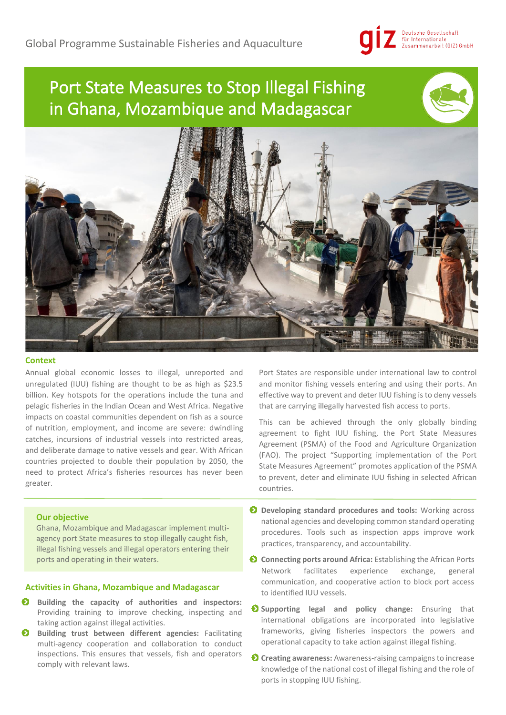

# Port State Measures to Stop Illegal Fishing in Ghana, Mozambique and Madagascar



## **Context**

Annual global economic losses to illegal, unreported and unregulated (IUU) fishing are thought to be as high as \$23.5 billion. Key hotspots for the operations include the tuna and pelagic fisheries in the Indian Ocean and West Africa. Negative impacts on coastal communities dependent on fish as a source of nutrition, employment, and income are severe: dwindling catches, incursions of industrial vessels into restricted areas, and deliberate damage to native vessels and gear. With African countries projected to double their population by 2050, the need to protect Africa's fisheries resources has never been greater.

**Our objective**

Ghana, Mozambique and Madagascar implement multiagency port State measures to stop illegally caught fish, illegal fishing vessels and illegal operators entering their ports and operating in their waters.

## **Activities in Ghana, Mozambique and Madagascar**

- **Building the capacity of authorities and inspectors:** Providing training to improve checking, inspecting and taking action against illegal activities.
- **Building trust between different agencies:** Facilitating multi-agency cooperation and collaboration to conduct inspections. This ensures that vessels, fish and operators comply with relevant laws.

Port States are responsible under international law to control and monitor fishing vessels entering and using their ports. An effective way to prevent and deter IUU fishing is to deny vessels that are carrying illegally harvested fish access to ports.

This can be achieved through the only globally binding agreement to fight IUU fishing, the Port State Measures Agreement (PSMA) of the Food and Agriculture Organization (FAO). The project "Supporting implementation of the Port State Measures Agreement" promotes application of the PSMA to prevent, deter and eliminate IUU fishing in selected African countries.

- **Developing standard procedures and tools:** Working across national agencies and developing common standard operating procedures. Tools such as inspection apps improve work practices, transparency, and accountability.
- **Connecting ports around Africa:** Establishing the African Ports Network facilitates experience exchange, general communication, and cooperative action to block port access to identified IUU vessels.
- **Supporting legal and policy change:** Ensuring that international obligations are incorporated into legislative frameworks, giving fisheries inspectors the powers and operational capacity to take action against illegal fishing.
- **Creating awareness:** Awareness-raising campaigns to increase knowledge of the national cost of illegal fishing and the role of ports in stopping IUU fishing.